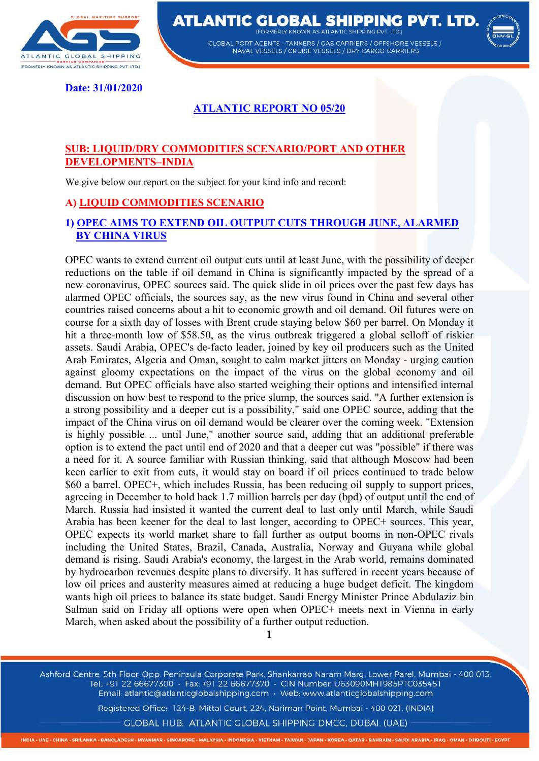

**ATLANTIC GLOBAL SHIPPING PVT. LTD. EODMEDIV KNOWN AS ATLANTIC SHIDDING BVT LTD.** 

> GLOBAL PORT AGENTS - TANKERS / GAS CARRIERS / OFFSHORE VESSELS / NAVAL VESSELS / CRUISE VESSELS / DRY CARGO CARRIERS



**Date: 31/01/2020** 

# **ATLANTIC REPORT NO 05/20**

# **SUB: LIQUID/DRY COMMODITIES SCENARIO/PORT AND OTHER DEVELOPMENTS–INDIA**

We give below our report on the subject for your kind info and record:

## **A) LIQUID COMMODITIES SCENARIO**

### **1) OPEC AIMS TO EXTEND OIL OUTPUT CUTS THROUGH JUNE, ALARMED BY CHINA VIRUS**

OPEC wants to extend current oil output cuts until at least June, with the possibility of deeper reductions on the table if oil demand in China is significantly impacted by the spread of a new coronavirus, OPEC sources said. The quick slide in oil prices over the past few days has alarmed OPEC officials, the sources say, as the new virus found in China and several other countries raised concerns about a hit to economic growth and oil demand. Oil futures were on course for a sixth day of losses with Brent crude staying below \$60 per barrel. On Monday it hit a three-month low of \$58.50, as the virus outbreak triggered a global selloff of riskier assets. Saudi Arabia, OPEC's de-facto leader, joined by key oil producers such as the United Arab Emirates, Algeria and Oman, sought to calm market jitters on Monday - urging caution against gloomy expectations on the impact of the virus on the global economy and oil demand. But OPEC officials have also started weighing their options and intensified internal discussion on how best to respond to the price slump, the sources said. "A further extension is a strong possibility and a deeper cut is a possibility," said one OPEC source, adding that the impact of the China virus on oil demand would be clearer over the coming week. "Extension is highly possible ... until June," another source said, adding that an additional preferable option is to extend the pact until end of 2020 and that a deeper cut was "possible" if there was a need for it. A source familiar with Russian thinking, said that although Moscow had been keen earlier to exit from cuts, it would stay on board if oil prices continued to trade below \$60 a barrel. OPEC+, which includes Russia, has been reducing oil supply to support prices, agreeing in December to hold back 1.7 million barrels per day (bpd) of output until the end of March. Russia had insisted it wanted the current deal to last only until March, while Saudi Arabia has been keener for the deal to last longer, according to OPEC+ sources. This year, OPEC expects its world market share to fall further as output booms in non-OPEC rivals including the United States, Brazil, Canada, Australia, Norway and Guyana while global demand is rising. Saudi Arabia's economy, the largest in the Arab world, remains dominated by hydrocarbon revenues despite plans to diversify. It has suffered in recent years because of low oil prices and austerity measures aimed at reducing a huge budget deficit. The kingdom wants high oil prices to balance its state budget. Saudi Energy Minister Prince Abdulaziz bin Salman said on Friday all options were open when OPEC+ meets next in Vienna in early March, when asked about the possibility of a further output reduction.

**1**

Ashford Centre, 5th Floor, Opp. Peninsula Corporate Park, Shankarrao Naram Marg, Lower Parel, Mumbai - 400 013. Tel.: +91 22 66677300 · Fax: +91 22 66677370 · CIN Number: U63090MH1985PTC035451 Email: atlantic@atlanticglobalshipping.com · Web: www.atlanticglobalshipping.com

Registered Office: 124-B. Mittal Court. 224. Nariman Point. Mumbai - 400 021. (INDIA)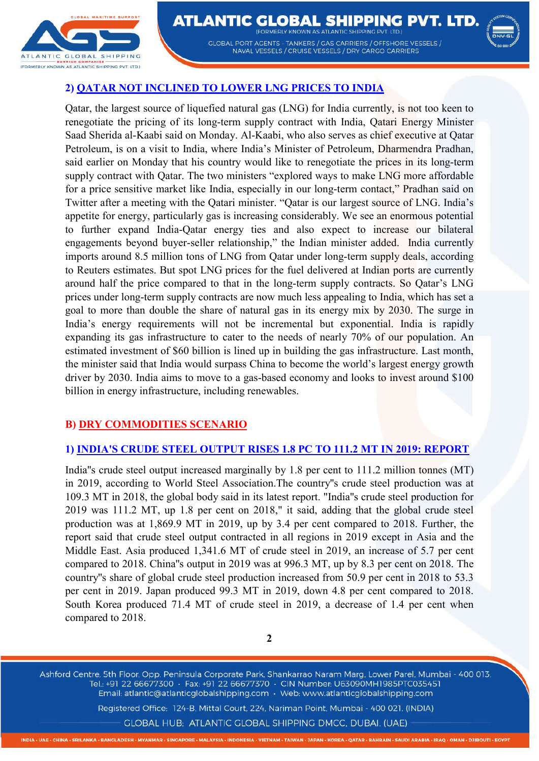

**ATLANTIC GLOBAL SHIPPING PVT. LTD. EODMEDIV KNOWN AS ATLANTIC SHIDDING BVT LTD.** GLOBAL PORT AGENTS - TANKERS / GAS CARRIERS / OFFSHORE VESSELS / NAVAL VESSELS / CRUISE VESSELS / DRY CARGO CARRIERS



### **2) QATAR NOT INCLINED TO LOWER LNG PRICES TO INDIA**

Qatar, the largest source of liquefied natural gas (LNG) for India currently, is not too keen to renegotiate the pricing of its long-term supply contract with India, Qatari Energy Minister Saad Sherida al-Kaabi said on Monday. Al-Kaabi, who also serves as chief executive at Qatar Petroleum, is on a visit to India, where India's Minister of Petroleum, Dharmendra Pradhan, said earlier on Monday that his country would like to renegotiate the prices in its long-term supply contract with Qatar. The two ministers "explored ways to make LNG more affordable for a price sensitive market like India, especially in our long-term contact," Pradhan said on Twitter after a meeting with the Qatari minister. "Qatar is our largest source of LNG. India's appetite for energy, particularly gas is increasing considerably. We see an enormous potential to further expand India-Qatar energy ties and also expect to increase our bilateral engagements beyond buyer-seller relationship," the Indian minister added. India currently imports around 8.5 million tons of LNG from Qatar under long-term supply deals, according to Reuters estimates. But spot LNG prices for the fuel delivered at Indian ports are currently around half the price compared to that in the long-term supply contracts. So Qatar's LNG prices under long-term supply contracts are now much less appealing to India, which has set a goal to more than double the share of natural gas in its energy mix by 2030. The surge in India's energy requirements will not be incremental but exponential. India is rapidly expanding its gas infrastructure to cater to the needs of nearly 70% of our population. An estimated investment of \$60 billion is lined up in building the gas infrastructure. Last month, the minister said that India would surpass China to become the world's largest energy growth driver by 2030. India aims to move to a gas-based economy and looks to invest around \$100 billion in energy infrastructure, including renewables.

#### **B) DRY COMMODITIES SCENARIO**

#### **1) INDIA'S CRUDE STEEL OUTPUT RISES 1.8 PC TO 111.2 MT IN 2019: REPORT**

India''s crude steel output increased marginally by 1.8 per cent to 111.2 million tonnes (MT) in 2019, according to World Steel Association.The country''s crude steel production was at 109.3 MT in 2018, the global body said in its latest report. "India''s crude steel production for 2019 was 111.2 MT, up 1.8 per cent on 2018," it said, adding that the global crude steel production was at 1,869.9 MT in 2019, up by 3.4 per cent compared to 2018. Further, the report said that crude steel output contracted in all regions in 2019 except in Asia and the Middle East. Asia produced 1,341.6 MT of crude steel in 2019, an increase of 5.7 per cent compared to 2018. China''s output in 2019 was at 996.3 MT, up by 8.3 per cent on 2018. The country''s share of global crude steel production increased from 50.9 per cent in 2018 to 53.3 per cent in 2019. Japan produced 99.3 MT in 2019, down 4.8 per cent compared to 2018. South Korea produced 71.4 MT of crude steel in 2019, a decrease of 1.4 per cent when compared to 2018.

**2**

Ashford Centre, 5th Floor, Opp. Peninsula Corporate Park, Shankarrao Naram Marg, Lower Parel, Mumbai - 400 013. Tel.: +91 22 66677300 · Fax: +91 22 66677370 · CIN Number: U63090MH1985PTC035451 Email: atlantic@atlanticglobalshipping.com · Web: www.atlanticglobalshipping.com

Registered Office: 124-B, Mittal Court, 224, Nariman Point, Mumbai - 400 021, (INDIA)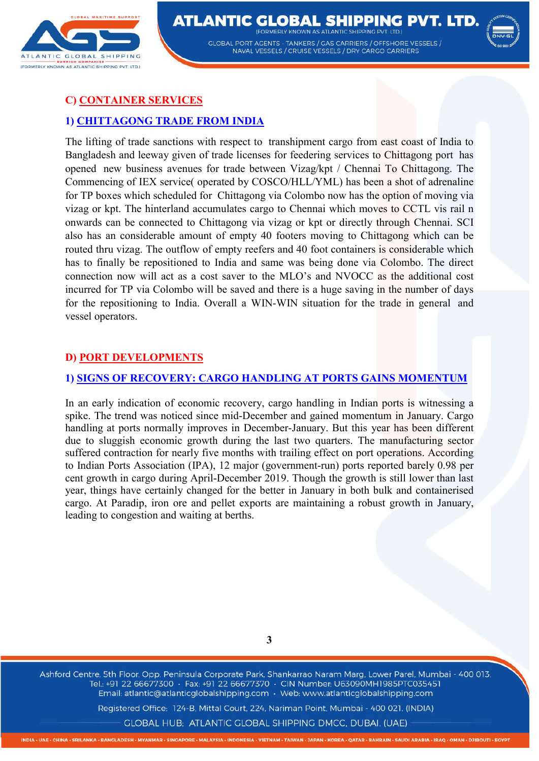

**ATLANTIC GLOBAL SHIPPING PVT. LTD. EODMEDIV KNOWN AS ATLANTIC SHIDDING BVT LTD.** GLOBAL PORT AGENTS - TANKERS / GAS CARRIERS / OFFSHORE VESSELS / NAVAL VESSELS / CRUISE VESSELS / DRY CARGO CARRIERS



# **C) CONTAINER SERVICES**

# **1) CHITTAGONG TRADE FROM INDIA**

The lifting of trade sanctions with respect to transhipment cargo from east coast of India to Bangladesh and leeway given of trade licenses for feedering services to Chittagong port has opened new business avenues for trade between Vizag/kpt / Chennai To Chittagong. The Commencing of IEX service( operated by COSCO/HLL/YML) has been a shot of adrenaline for TP boxes which scheduled for Chittagong via Colombo now has the option of moving via vizag or kpt. The hinterland accumulates cargo to Chennai which moves to CCTL vis rail n onwards can be connected to Chittagong via vizag or kpt or directly through Chennai. SCI also has an considerable amount of empty 40 footers moving to Chittagong which can be routed thru vizag. The outflow of empty reefers and 40 foot containers is considerable which has to finally be repositioned to India and same was being done via Colombo. The direct connection now will act as a cost saver to the MLO's and NVOCC as the additional cost incurred for TP via Colombo will be saved and there is a huge saving in the number of days for the repositioning to India. Overall a WIN-WIN situation for the trade in general and vessel operators.

### **D) PORT DEVELOPMENTS**

### **1) SIGNS OF RECOVERY: CARGO HANDLING AT PORTS GAINS MOMENTUM**

In an early indication of economic recovery, cargo handling in Indian ports is witnessing a spike. The trend was noticed since mid-December and gained momentum in January. Cargo handling at ports normally improves in December-January. But this year has been different due to sluggish economic growth during the last two quarters. The manufacturing sector suffered contraction for nearly five months with trailing effect on port operations. According to Indian Ports Association (IPA), 12 major (government-run) ports reported barely 0.98 per cent growth in cargo during April-December 2019. Though the growth is still lower than last year, things have certainly changed for the better in January in both bulk and containerised cargo. At Paradip, iron ore and pellet exports are maintaining a robust growth in January, leading to congestion and waiting at berths.

**3**

Ashford Centre, 5th Floor, Opp. Peninsula Corporate Park, Shankarrao Naram Marg, Lower Parel, Mumbai - 400 013. Tel.: +91 22 66677300 · Fax: +91 22 66677370 · CIN Number: U63090MH1985PTC035451 Email: atlantic@atlanticglobalshipping.com · Web: www.atlanticglobalshipping.com

Registered Office: 124-B, Mittal Court, 224, Nariman Point, Mumbai - 400 021, (INDIA)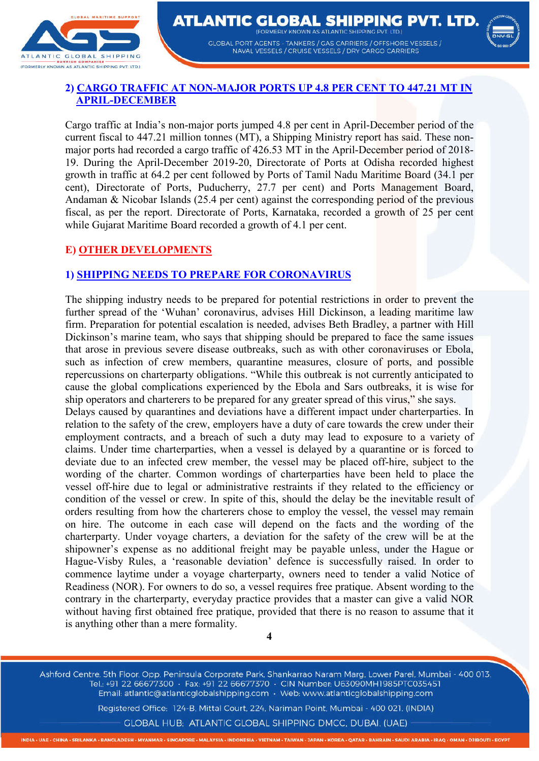



# **2) CARGO TRAFFIC AT NON-MAJOR PORTS UP 4.8 PER CENT TO 447.21 MT IN APRIL-DECEMBER**

Cargo traffic at India's non-major ports jumped 4.8 per cent in April-December period of the current fiscal to 447.21 million tonnes (MT), a Shipping Ministry report has said. These nonmajor ports had recorded a cargo traffic of 426.53 MT in the April-December period of 2018- 19. During the April-December 2019-20, Directorate of Ports at Odisha recorded highest growth in traffic at 64.2 per cent followed by Ports of Tamil Nadu Maritime Board (34.1 per cent), Directorate of Ports, Puducherry, 27.7 per cent) and Ports Management Board, Andaman & Nicobar Islands (25.4 per cent) against the corresponding period of the previous fiscal, as per the report. Directorate of Ports, Karnataka, recorded a growth of 25 per cent while Gujarat Maritime Board recorded a growth of 4.1 per cent.

## **E) OTHER DEVELOPMENTS**

## **1) SHIPPING NEEDS TO PREPARE FOR CORONAVIRUS**

The shipping industry needs to be prepared for potential restrictions in order to prevent the further spread of the 'Wuhan' coronavirus, advises Hill Dickinson, a leading maritime law firm. Preparation for potential escalation is needed, advises Beth Bradley, a partner with Hill Dickinson's marine team, who says that shipping should be prepared to face the same issues that arose in previous severe disease outbreaks, such as with other coronaviruses or Ebola, such as infection of crew members, quarantine measures, closure of ports, and possible repercussions on charterparty obligations. "While this outbreak is not currently anticipated to cause the global complications experienced by the Ebola and Sars outbreaks, it is wise for ship operators and charterers to be prepared for any greater spread of this virus," she says. Delays caused by quarantines and deviations have a different impact under charterparties. In relation to the safety of the crew, employers have a duty of care towards the crew under their employment contracts, and a breach of such a duty may lead to exposure to a variety of claims. Under time charterparties, when a vessel is delayed by a quarantine or is forced to deviate due to an infected crew member, the vessel may be placed off-hire, subject to the wording of the charter. Common wordings of charterparties have been held to place the vessel off-hire due to legal or administrative restraints if they related to the efficiency or condition of the vessel or crew. In spite of this, should the delay be the inevitable result of orders resulting from how the charterers chose to employ the vessel, the vessel may remain on hire. The outcome in each case will depend on the facts and the wording of the charterparty. Under voyage charters, a deviation for the safety of the crew will be at the shipowner's expense as no additional freight may be payable unless, under the Hague or Hague-Visby Rules, a 'reasonable deviation' defence is successfully raised. In order to commence laytime under a voyage charterparty, owners need to tender a valid Notice of Readiness (NOR). For owners to do so, a vessel requires free pratique. Absent wording to the contrary in the charterparty, everyday practice provides that a master can give a valid NOR without having first obtained free pratique, provided that there is no reason to assume that it is anything other than a mere formality.

**4**

Ashford Centre, 5th Floor, Opp. Peninsula Corporate Park, Shankarrao Naram Marg, Lower Parel, Mumbai - 400 013. Tel.: +91 22 66677300 · Fax: +91 22 66677370 · CIN Number: U63090MH1985PTC035451 Email: atlantic@atlanticglobalshipping.com · Web: www.atlanticglobalshipping.com

Registered Office: 124-B. Mittal Court. 224. Nariman Point. Mumbai - 400 021. (INDIA)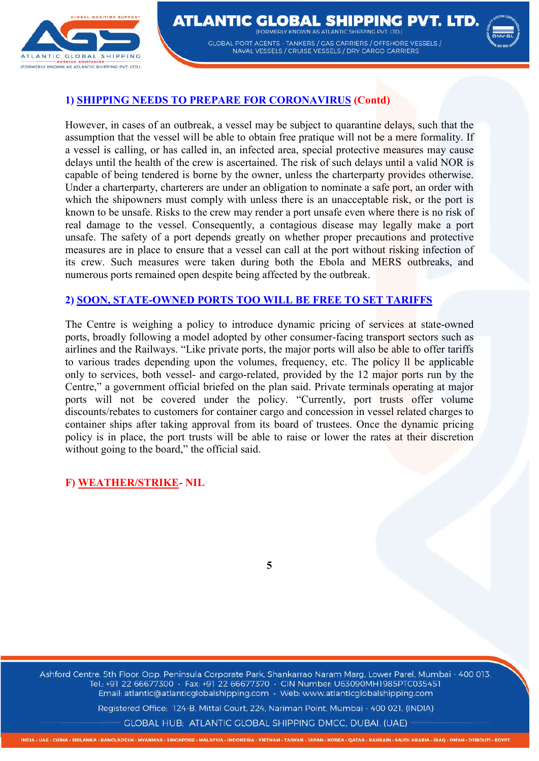

**ATLANTIC GLOBAL SHIPPING PVT. LTD. EODMEDIV KNOWN AS ATLANTIC SHIDDING BVT LTD.** GLOBAL PORT AGENTS - TANKERS / GAS CARRIERS / OFFSHORE VESSELS / NAVAL VESSELS / CRUISE VESSELS / DRY CARGO CARRIERS



### **1) SHIPPING NEEDS TO PREPARE FOR CORONAVIRUS (Contd)**

However, in cases of an outbreak, a vessel may be subject to quarantine delays, such that the assumption that the vessel will be able to obtain free pratique will not be a mere formality. If a vessel is calling, or has called in, an infected area, special protective measures may cause delays until the health of the crew is ascertained. The risk of such delays until a valid NOR is capable of being tendered is borne by the owner, unless the charterparty provides otherwise. Under a charterparty, charterers are under an obligation to nominate a safe port, an order with which the shipowners must comply with unless there is an unacceptable risk, or the port is known to be unsafe. Risks to the crew may render a port unsafe even where there is no risk of real damage to the vessel. Consequently, a contagious disease may legally make a port unsafe. The safety of a port depends greatly on whether proper precautions and protective measures are in place to ensure that a vessel can call at the port without risking infection of its crew. Such measures were taken during both the Ebola and MERS outbreaks, and numerous ports remained open despite being affected by the outbreak.

#### **2) SOON, STATE-OWNED PORTS TOO WILL BE FREE TO SET TARIFFS**

The Centre is weighing a policy to introduce dynamic pricing of services at state-owned ports, broadly following a model adopted by other consumer-facing transport sectors such as airlines and the Railways. "Like private ports, the major ports will also be able to offer tariffs to various trades depending upon the volumes, frequency, etc. The policy ll be applicable only to services, both vessel- and cargo-related, provided by the 12 major ports run by the Centre," a government official briefed on the plan said. Private terminals operating at major ports will not be covered under the policy. "Currently, port trusts offer volume discounts/rebates to customers for container cargo and concession in vessel related charges to container ships after taking approval from its board of trustees. Once the dynamic pricing policy is in place, the port trusts will be able to raise or lower the rates at their discretion without going to the board," the official said.

**F) WEATHER/STRIKE- NIL**

**5**

Ashford Centre, 5th Floor, Opp. Peninsula Corporate Park, Shankarrao Naram Marg, Lower Parel, Mumbai - 400 013. Tel.: +91 22 66677300 · Fax: +91 22 66677370 · CIN Number: U63090MH1985PTC035451 Email: atlantic@atlanticglobalshipping.com · Web: www.atlanticglobalshipping.com

Registered Office: 124-B. Mittal Court. 224. Nariman Point. Mumbai - 400 021. (INDIA)